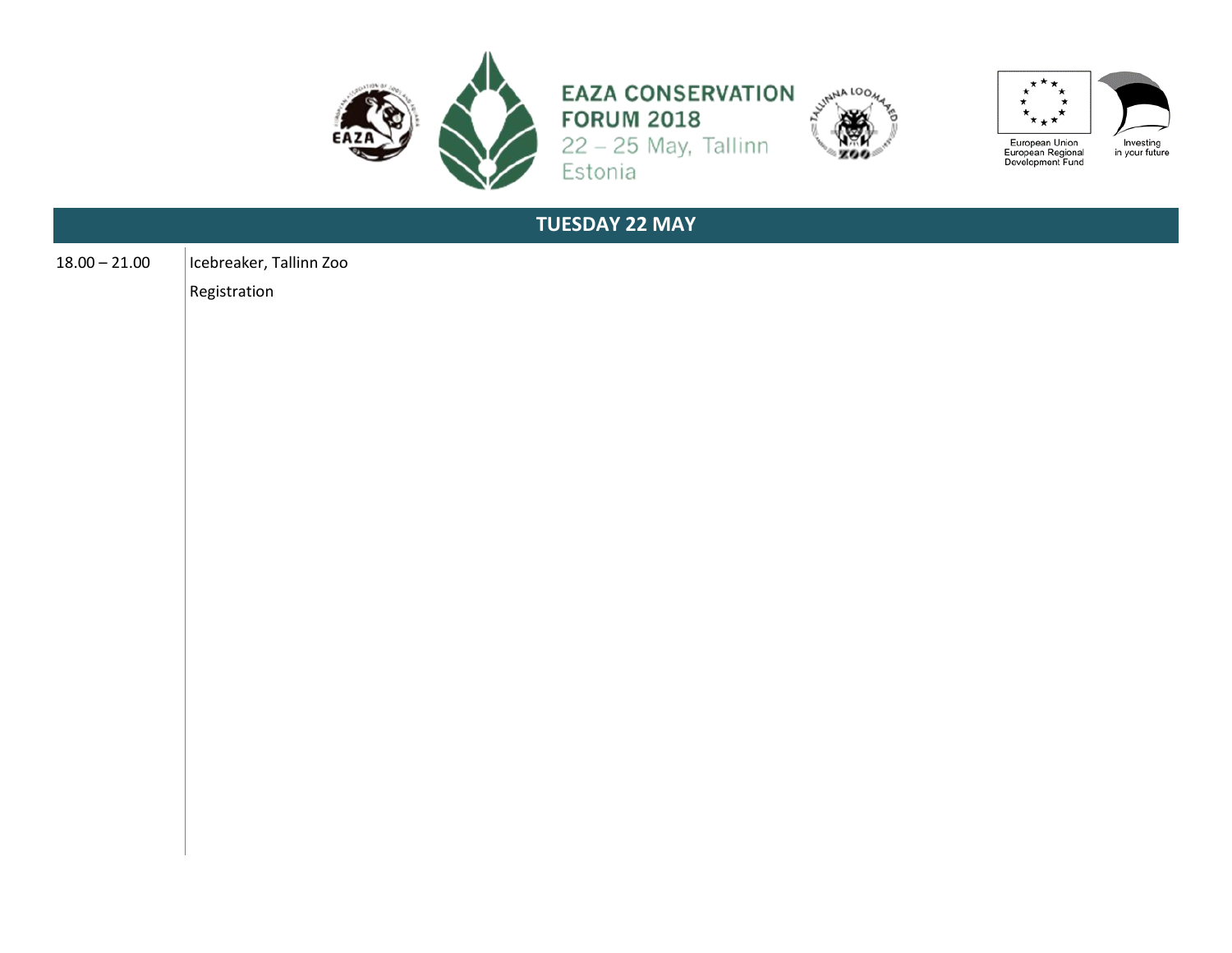

**EAZA CONSERVATION** FORUM 2018<br>22 - 25 May, Tallinn<br>Estonia





| <b>TUESDAY 22 MAY</b> |                                         |  |
|-----------------------|-----------------------------------------|--|
| $18.00 - 21.00$       | Icebreaker, Tallinn Zoo<br>Registration |  |
|                       |                                         |  |
|                       |                                         |  |
|                       |                                         |  |
|                       |                                         |  |
|                       |                                         |  |
|                       |                                         |  |
|                       |                                         |  |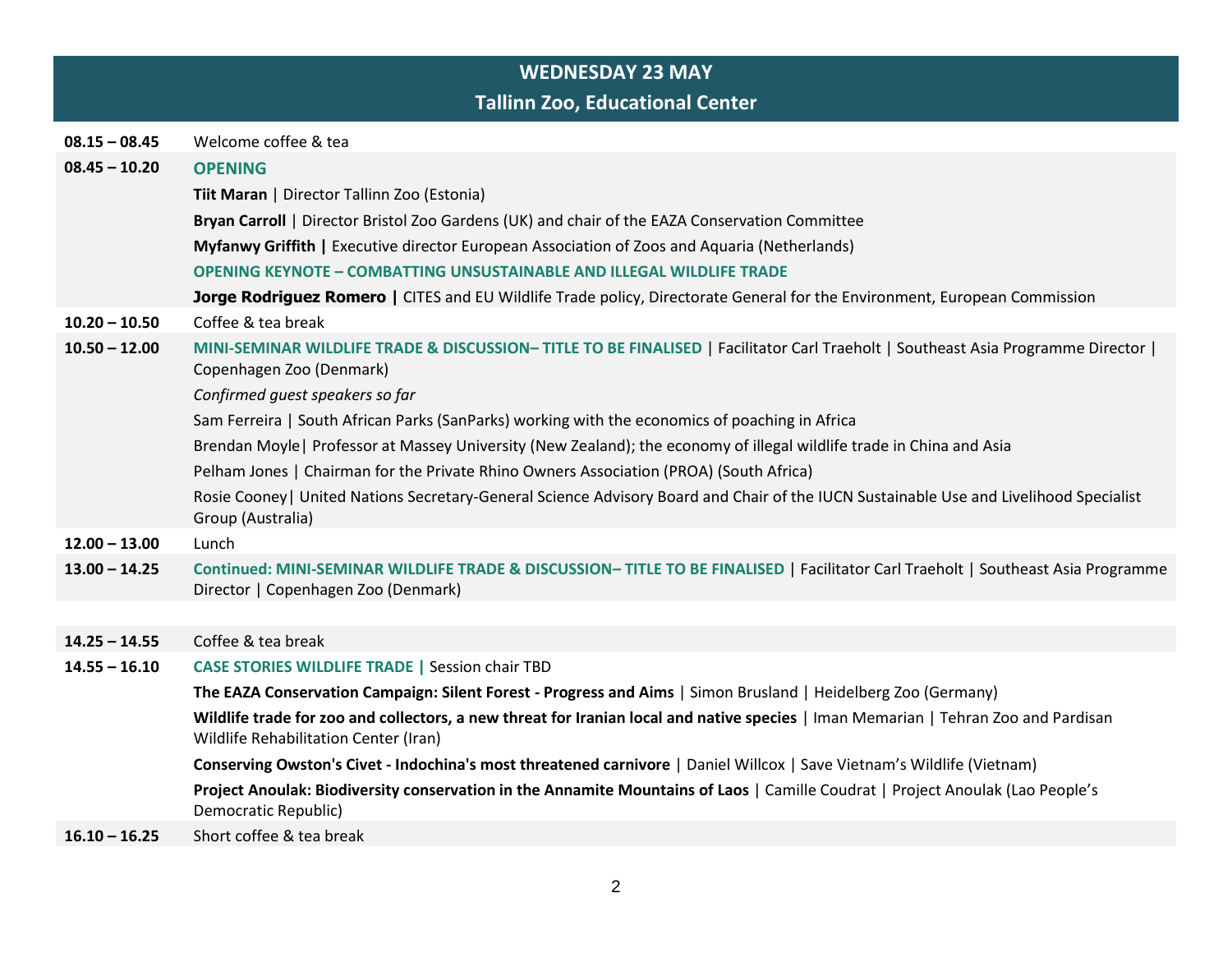|                 | <b>WEDNESDAY 23 MAY</b>                                                                                                                                                     |
|-----------------|-----------------------------------------------------------------------------------------------------------------------------------------------------------------------------|
|                 | <b>Tallinn Zoo, Educational Center</b>                                                                                                                                      |
| $08.15 - 08.45$ | Welcome coffee & tea                                                                                                                                                        |
| $08.45 - 10.20$ | <b>OPENING</b>                                                                                                                                                              |
|                 | Tiit Maran   Director Tallinn Zoo (Estonia)                                                                                                                                 |
|                 | Bryan Carroll   Director Bristol Zoo Gardens (UK) and chair of the EAZA Conservation Committee                                                                              |
|                 | Myfanwy Griffith   Executive director European Association of Zoos and Aquaria (Netherlands)                                                                                |
|                 | <b>OPENING KEYNOTE - COMBATTING UNSUSTAINABLE AND ILLEGAL WILDLIFE TRADE</b>                                                                                                |
|                 | Jorge Rodriguez Romero   CITES and EU Wildlife Trade policy, Directorate General for the Environment, European Commission                                                   |
| $10.20 - 10.50$ | Coffee & tea break                                                                                                                                                          |
| $10.50 - 12.00$ | MINI-SEMINAR WILDLIFE TRADE & DISCUSSION-TITLE TO BE FINALISED   Facilitator Carl Traeholt   Southeast Asia Programme Director  <br>Copenhagen Zoo (Denmark)                |
|                 | Confirmed guest speakers so far                                                                                                                                             |
|                 | Sam Ferreira   South African Parks (SanParks) working with the economics of poaching in Africa                                                                              |
|                 | Brendan Moyle   Professor at Massey University (New Zealand); the economy of illegal wildlife trade in China and Asia                                                       |
|                 | Pelham Jones   Chairman for the Private Rhino Owners Association (PROA) (South Africa)                                                                                      |
|                 | Rosie Cooney   United Nations Secretary-General Science Advisory Board and Chair of the IUCN Sustainable Use and Livelihood Specialist<br>Group (Australia)                 |
| $12.00 - 13.00$ | Lunch                                                                                                                                                                       |
| $13.00 - 14.25$ | Continued: MINI-SEMINAR WILDLIFE TRADE & DISCUSSION-TITLE TO BE FINALISED   Facilitator Carl Traeholt   Southeast Asia Programme<br>Director   Copenhagen Zoo (Denmark)     |
|                 |                                                                                                                                                                             |
| $14.25 - 14.55$ | Coffee & tea break                                                                                                                                                          |
| $14.55 - 16.10$ | <b>CASE STORIES WILDLIFE TRADE   Session chair TBD</b>                                                                                                                      |
|                 | The EAZA Conservation Campaign: Silent Forest - Progress and Aims   Simon Brusland   Heidelberg Zoo (Germany)                                                               |
|                 | Wildlife trade for zoo and collectors, a new threat for Iranian local and native species   Iman Memarian   Tehran Zoo and Pardisan<br>Wildlife Rehabilitation Center (Iran) |
|                 | Conserving Owston's Civet - Indochina's most threatened carnivore   Daniel Willcox   Save Vietnam's Wildlife (Vietnam)                                                      |
|                 | Project Anoulak: Biodiversity conservation in the Annamite Mountains of Laos   Camille Coudrat   Project Anoulak (Lao People's<br>Democratic Republic)                      |
| $16.10 - 16.25$ | Short coffee & tea break                                                                                                                                                    |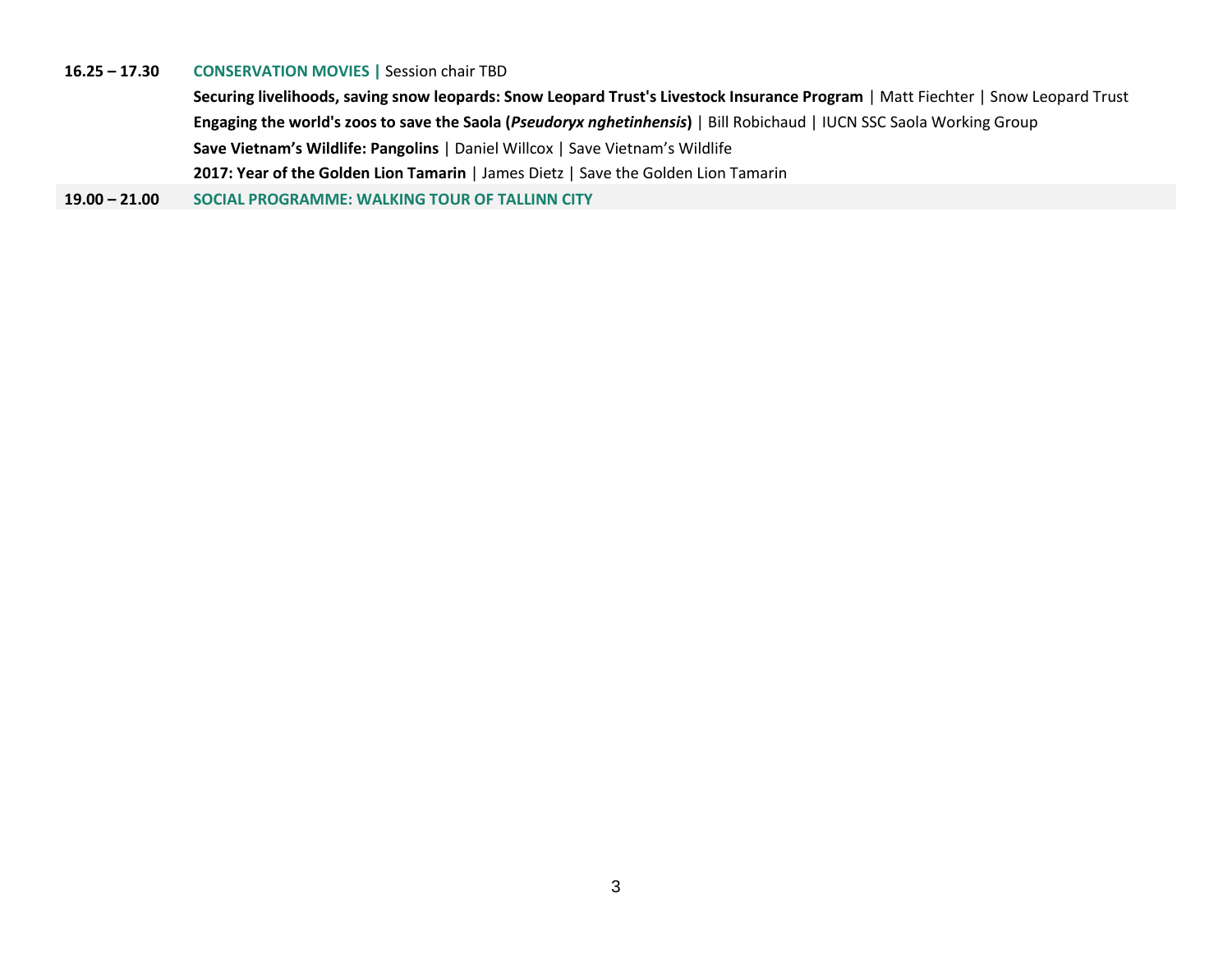## **16.25 – 17.30 CONSERVATION MOVIES |** Session chair TBD

**Securing livelihoods, saving snow leopards: Snow Leopard Trust's Livestock Insurance Program** | Matt Fiechter | Snow Leopard Trust **Engaging the world's zoos to save the Saola (***Pseudoryx nghetinhensis***)** | Bill Robichaud | IUCN SSC Saola Working Group **Save Vietnam's Wildlife: Pangolins** | Daniel Willcox | Save Vietnam's Wildlife **2017: Year of the Golden Lion Tamarin** | James Dietz | Save the Golden Lion Tamarin

**19.00 – 21.00 SOCIAL PROGRAMME: WALKING TOUR OF TALLINN CITY**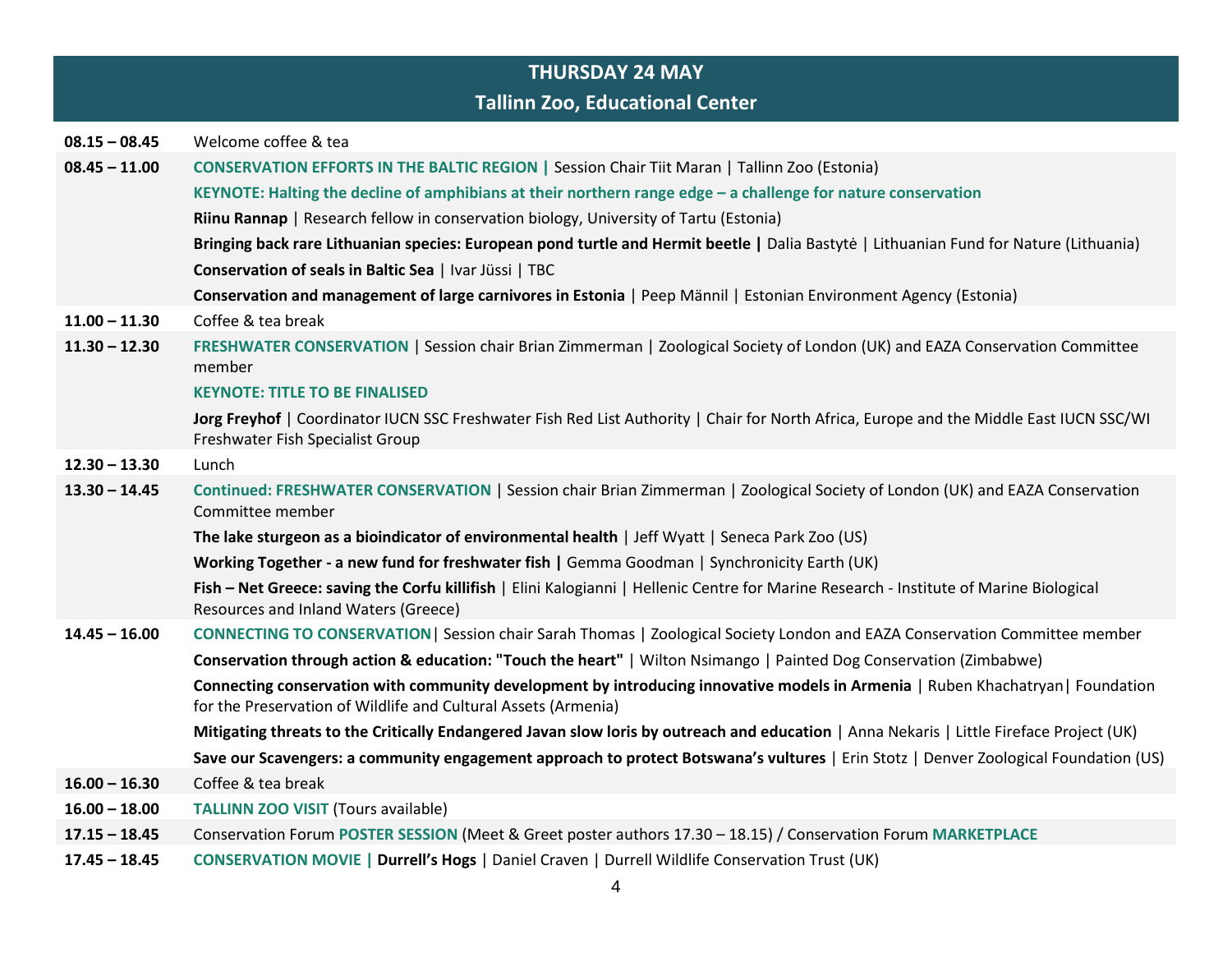|                 | <b>THURSDAY 24 MAY</b>                                                                                                                                                                           |
|-----------------|--------------------------------------------------------------------------------------------------------------------------------------------------------------------------------------------------|
|                 | <b>Tallinn Zoo, Educational Center</b>                                                                                                                                                           |
| $08.15 - 08.45$ | Welcome coffee & tea                                                                                                                                                                             |
| $08.45 - 11.00$ | <b>CONSERVATION EFFORTS IN THE BALTIC REGION   Session Chair Tiit Maran   Tallinn Zoo (Estonia)</b>                                                                                              |
|                 | KEYNOTE: Halting the decline of amphibians at their northern range edge - a challenge for nature conservation                                                                                    |
|                 | Riinu Rannap   Research fellow in conservation biology, University of Tartu (Estonia)                                                                                                            |
|                 | Bringing back rare Lithuanian species: European pond turtle and Hermit beetle   Dalia Bastyte   Lithuanian Fund for Nature (Lithuania)                                                           |
|                 | Conservation of seals in Baltic Sea   Ivar Jüssi   TBC                                                                                                                                           |
|                 | Conservation and management of large carnivores in Estonia   Peep Männil   Estonian Environment Agency (Estonia)                                                                                 |
| $11.00 - 11.30$ | Coffee & tea break                                                                                                                                                                               |
| $11.30 - 12.30$ | FRESHWATER CONSERVATION   Session chair Brian Zimmerman   Zoological Society of London (UK) and EAZA Conservation Committee<br>member                                                            |
|                 | <b>KEYNOTE: TITLE TO BE FINALISED</b>                                                                                                                                                            |
|                 | Jorg Freyhof   Coordinator IUCN SSC Freshwater Fish Red List Authority   Chair for North Africa, Europe and the Middle East IUCN SSC/WI<br>Freshwater Fish Specialist Group                      |
| $12.30 - 13.30$ | Lunch                                                                                                                                                                                            |
| $13.30 - 14.45$ | Continued: FRESHWATER CONSERVATION   Session chair Brian Zimmerman   Zoological Society of London (UK) and EAZA Conservation<br>Committee member                                                 |
|                 | The lake sturgeon as a bioindicator of environmental health   Jeff Wyatt   Seneca Park Zoo (US)                                                                                                  |
|                 | Working Together - a new fund for freshwater fish   Gemma Goodman   Synchronicity Earth (UK)                                                                                                     |
|                 | Fish - Net Greece: saving the Corfu killifish   Elini Kalogianni   Hellenic Centre for Marine Research - Institute of Marine Biological<br>Resources and Inland Waters (Greece)                  |
| $14.45 - 16.00$ | CONNECTING TO CONSERVATION   Session chair Sarah Thomas   Zoological Society London and EAZA Conservation Committee member                                                                       |
|                 | Conservation through action & education: "Touch the heart"   Wilton Nsimango   Painted Dog Conservation (Zimbabwe)                                                                               |
|                 | Connecting conservation with community development by introducing innovative models in Armenia   Ruben Khachatryan  Foundation<br>for the Preservation of Wildlife and Cultural Assets (Armenia) |
|                 | Mitigating threats to the Critically Endangered Javan slow loris by outreach and education   Anna Nekaris   Little Fireface Project (UK)                                                         |
|                 | Save our Scavengers: a community engagement approach to protect Botswana's vultures   Erin Stotz   Denver Zoological Foundation (US)                                                             |
| $16.00 - 16.30$ | Coffee & tea break                                                                                                                                                                               |
| $16.00 - 18.00$ | <b>TALLINN ZOO VISIT (Tours available)</b>                                                                                                                                                       |
| $17.15 - 18.45$ | Conservation Forum POSTER SESSION (Meet & Greet poster authors 17.30 - 18.15) / Conservation Forum MARKETPLACE                                                                                   |
| $17.45 - 18.45$ | CONSERVATION MOVIE   Durrell's Hogs   Daniel Craven   Durrell Wildlife Conservation Trust (UK)                                                                                                   |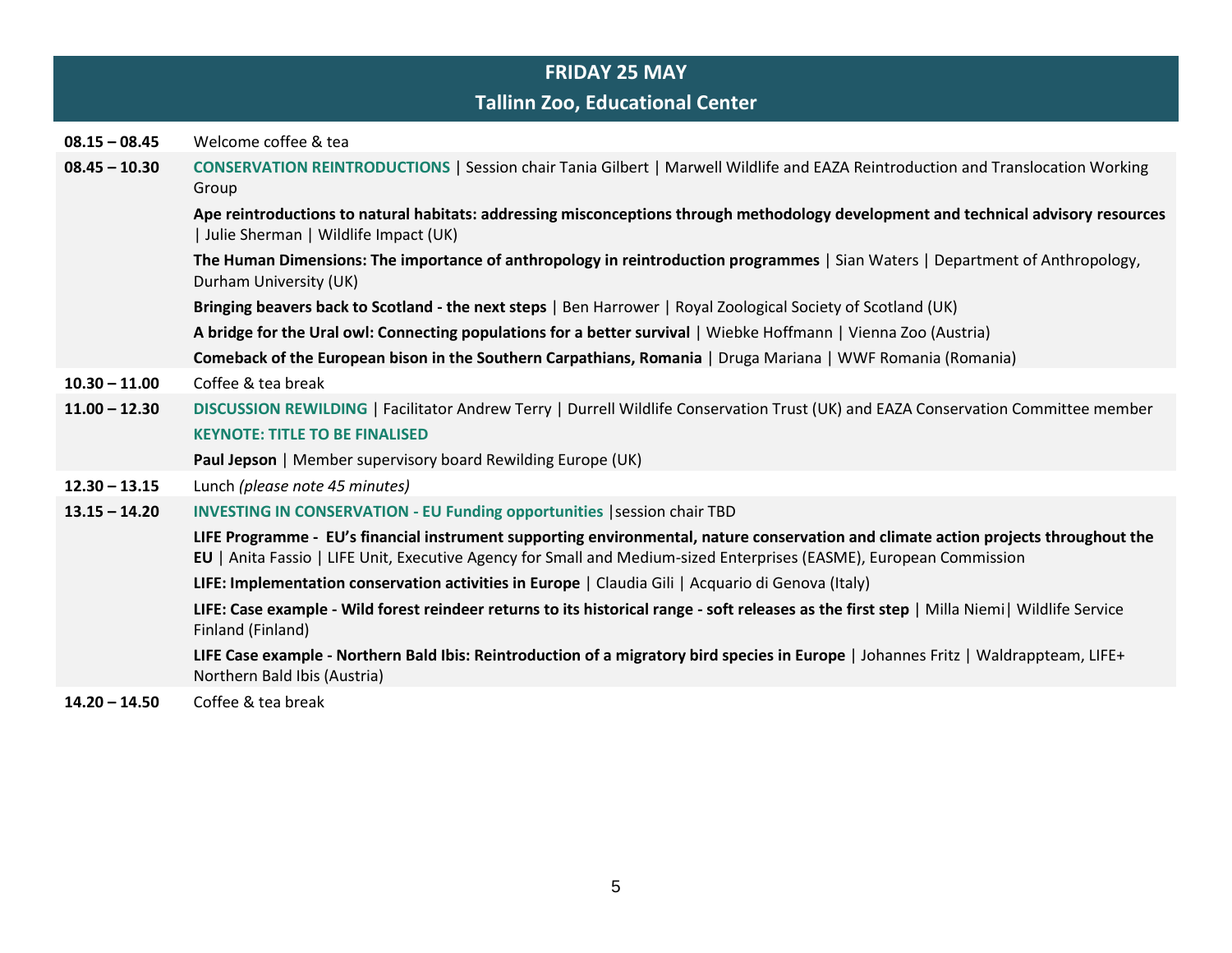|                 | <b>FRIDAY 25 MAY</b>                                                                                                                                                                                                                                       |
|-----------------|------------------------------------------------------------------------------------------------------------------------------------------------------------------------------------------------------------------------------------------------------------|
|                 | <b>Tallinn Zoo, Educational Center</b>                                                                                                                                                                                                                     |
| $08.15 - 08.45$ | Welcome coffee & tea                                                                                                                                                                                                                                       |
| $08.45 - 10.30$ | CONSERVATION REINTRODUCTIONS   Session chair Tania Gilbert   Marwell Wildlife and EAZA Reintroduction and Translocation Working<br>Group                                                                                                                   |
|                 | Ape reintroductions to natural habitats: addressing misconceptions through methodology development and technical advisory resources<br>  Julie Sherman   Wildlife Impact (UK)                                                                              |
|                 | The Human Dimensions: The importance of anthropology in reintroduction programmes   Sian Waters   Department of Anthropology,<br>Durham University (UK)                                                                                                    |
|                 | Bringing beavers back to Scotland - the next steps   Ben Harrower   Royal Zoological Society of Scotland (UK)                                                                                                                                              |
|                 | A bridge for the Ural owl: Connecting populations for a better survival   Wiebke Hoffmann   Vienna Zoo (Austria)                                                                                                                                           |
|                 | Comeback of the European bison in the Southern Carpathians, Romania   Druga Mariana   WWF Romania (Romania)                                                                                                                                                |
| $10.30 - 11.00$ | Coffee & tea break                                                                                                                                                                                                                                         |
| $11.00 - 12.30$ | DISCUSSION REWILDING   Facilitator Andrew Terry   Durrell Wildlife Conservation Trust (UK) and EAZA Conservation Committee member                                                                                                                          |
|                 | <b>KEYNOTE: TITLE TO BE FINALISED</b>                                                                                                                                                                                                                      |
|                 | Paul Jepson   Member supervisory board Rewilding Europe (UK)                                                                                                                                                                                               |
| $12.30 - 13.15$ | Lunch (please note 45 minutes)                                                                                                                                                                                                                             |
| $13.15 - 14.20$ | <b>INVESTING IN CONSERVATION - EU Funding opportunities   session chair TBD</b>                                                                                                                                                                            |
|                 | LIFE Programme - EU's financial instrument supporting environmental, nature conservation and climate action projects throughout the<br>EU   Anita Fassio   LIFE Unit, Executive Agency for Small and Medium-sized Enterprises (EASME), European Commission |
|                 | LIFE: Implementation conservation activities in Europe   Claudia Gili   Acquario di Genova (Italy)                                                                                                                                                         |
|                 | LIFE: Case example - Wild forest reindeer returns to its historical range - soft releases as the first step   Milla Niemi   Wildlife Service<br>Finland (Finland)                                                                                          |
|                 | LIFE Case example - Northern Bald Ibis: Reintroduction of a migratory bird species in Europe   Johannes Fritz   Waldrappteam, LIFE+<br>Northern Bald Ibis (Austria)                                                                                        |
| $14.20 - 14.50$ | Coffee & tea break                                                                                                                                                                                                                                         |